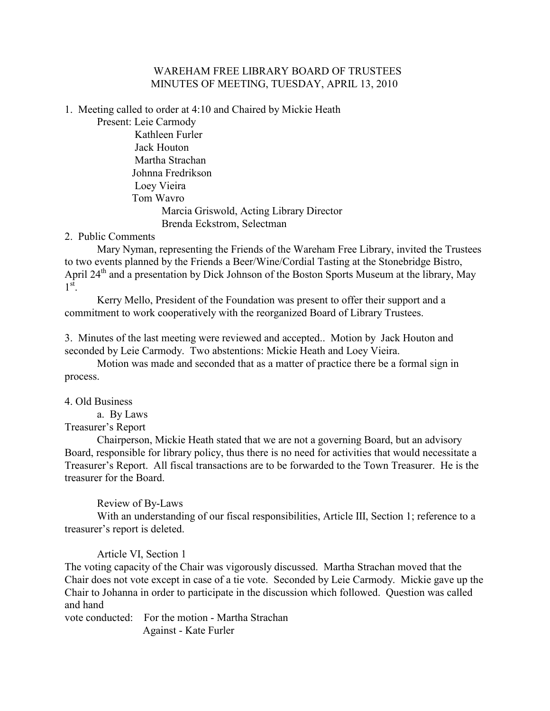#### WAREHAM FREE LIBRARY BOARD OF TRUSTEES MINUTES OF MEETING, TUESDAY, APRIL 13, 2010

1. Meeting called to order at 4:10 and Chaired by Mickie Heath

Present: Leie Carmody Kathleen Furler Jack Houton Martha Strachan Johnna Fredrikson Loey Vieira Tom Wavro Marcia Griswold, Acting Library Director Brenda Eckstrom, Selectman

2. Public Comments

Mary Nyman, representing the Friends of the Wareham Free Library, invited the Trustees to two events planned by the Friends a Beer/Wine/Cordial Tasting at the Stonebridge Bistro, April 24<sup>th</sup> and a presentation by Dick Johnson of the Boston Sports Museum at the library, May  $1^\text{st}$ .

 Kerry Mello, President of the Foundation was present to offer their support and a commitment to work cooperatively with the reorganized Board of Library Trustees.

3. Minutes of the last meeting were reviewed and accepted.. Motion by Jack Houton and seconded by Leie Carmody. Two abstentions: Mickie Heath and Loey Vieira.

Motion was made and seconded that as a matter of practice there be a formal sign in process.

4. Old Business

a. By Laws

Treasurer's Report

Chairperson, Mickie Heath stated that we are not a governing Board, but an advisory Board, responsible for library policy, thus there is no need for activities that would necessitate a Treasurer's Report. All fiscal transactions are to be forwarded to the Town Treasurer. He is the treasurer for the Board.

Review of By-Laws

With an understanding of our fiscal responsibilities, Article III, Section 1; reference to a treasurer's report is deleted.

Article VI, Section 1

The voting capacity of the Chair was vigorously discussed. Martha Strachan moved that the Chair does not vote except in case of a tie vote. Seconded by Leie Carmody. Mickie gave up the Chair to Johanna in order to participate in the discussion which followed. Question was called and hand

vote conducted: For the motion - Martha Strachan Against - Kate Furler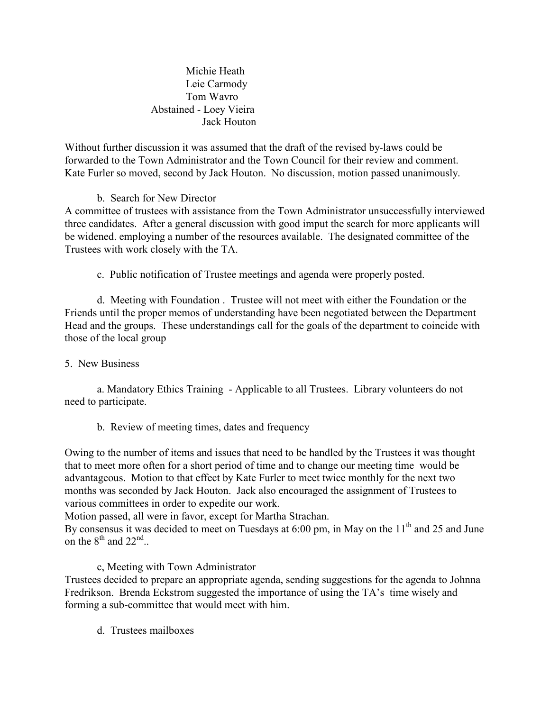Michie Heath Leie Carmody Tom Wavro Abstained - Loey Vieira Jack Houton

Without further discussion it was assumed that the draft of the revised by-laws could be forwarded to the Town Administrator and the Town Council for their review and comment. Kate Furler so moved, second by Jack Houton. No discussion, motion passed unanimously.

### b. Search for New Director

A committee of trustees with assistance from the Town Administrator unsuccessfully interviewed three candidates. After a general discussion with good imput the search for more applicants will be widened. employing a number of the resources available. The designated committee of the Trustees with work closely with the TA.

c. Public notification of Trustee meetings and agenda were properly posted.

d. Meeting with Foundation . Trustee will not meet with either the Foundation or the Friends until the proper memos of understanding have been negotiated between the Department Head and the groups. These understandings call for the goals of the department to coincide with those of the local group

### 5. New Business

a. Mandatory Ethics Training - Applicable to all Trustees. Library volunteers do not need to participate.

b. Review of meeting times, dates and frequency

Owing to the number of items and issues that need to be handled by the Trustees it was thought that to meet more often for a short period of time and to change our meeting time would be advantageous. Motion to that effect by Kate Furler to meet twice monthly for the next two months was seconded by Jack Houton. Jack also encouraged the assignment of Trustees to various committees in order to expedite our work.

Motion passed, all were in favor, except for Martha Strachan.

By consensus it was decided to meet on Tuesdays at 6:00 pm, in May on the  $11<sup>th</sup>$  and 25 and June on the  $8^{\text{th}}$  and  $22^{\text{nd}}$ ..

# c, Meeting with Town Administrator

Trustees decided to prepare an appropriate agenda, sending suggestions for the agenda to Johnna Fredrikson. Brenda Eckstrom suggested the importance of using the TA's time wisely and forming a sub-committee that would meet with him.

d. Trustees mailboxes